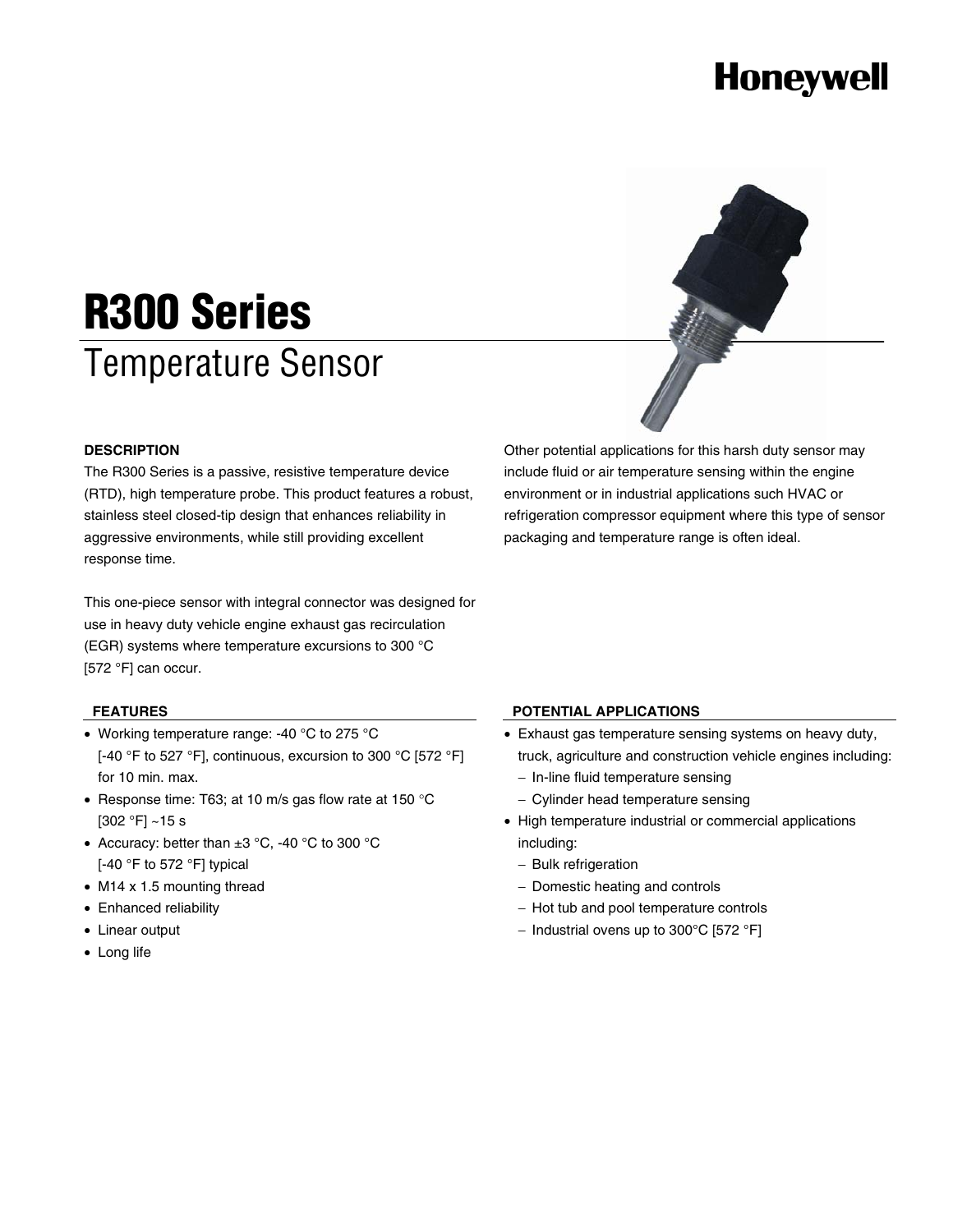# **Honeywell**



# **R300 Series**  Temperature Sensor

### **DESCRIPTION**

The R300 Series is a passive, resistive temperature device (RTD), high temperature probe. This product features a robust, stainless steel closed-tip design that enhances reliability in aggressive environments, while still providing excellent response time.

This one-piece sensor with integral connector was designed for use in heavy duty vehicle engine exhaust gas recirculation (EGR) systems where temperature excursions to 300 °C [572 °F] can occur.

### **FEATURES**

- Working temperature range: -40 °C to 275 °C [-40 °F to 527 °F], continuous, excursion to 300 °C [572 °F] for 10 min. max.
- Response time: T63; at 10 m/s gas flow rate at 150 °C  $[302 °F] ~$ ~15 s
- Accuracy: better than ±3 °C, -40 °C to 300 °C [-40 °F to 572 °F] typical
- M14 x 1.5 mounting thread
- Enhanced reliability
- Linear output
- Long life

# **POTENTIAL APPLICATIONS**

• Exhaust gas temperature sensing systems on heavy duty, truck, agriculture and construction vehicle engines including:

include fluid or air temperature sensing within the engine environment or in industrial applications such HVAC or refrigeration compressor equipment where this type of sensor

packaging and temperature range is often ideal.

- − In-line fluid temperature sensing
- − Cylinder head temperature sensing
- High temperature industrial or commercial applications including:
	- − Bulk refrigeration
	- − Domestic heating and controls
	- − Hot tub and pool temperature controls
	- − Industrial ovens up to 300°C [572 °F]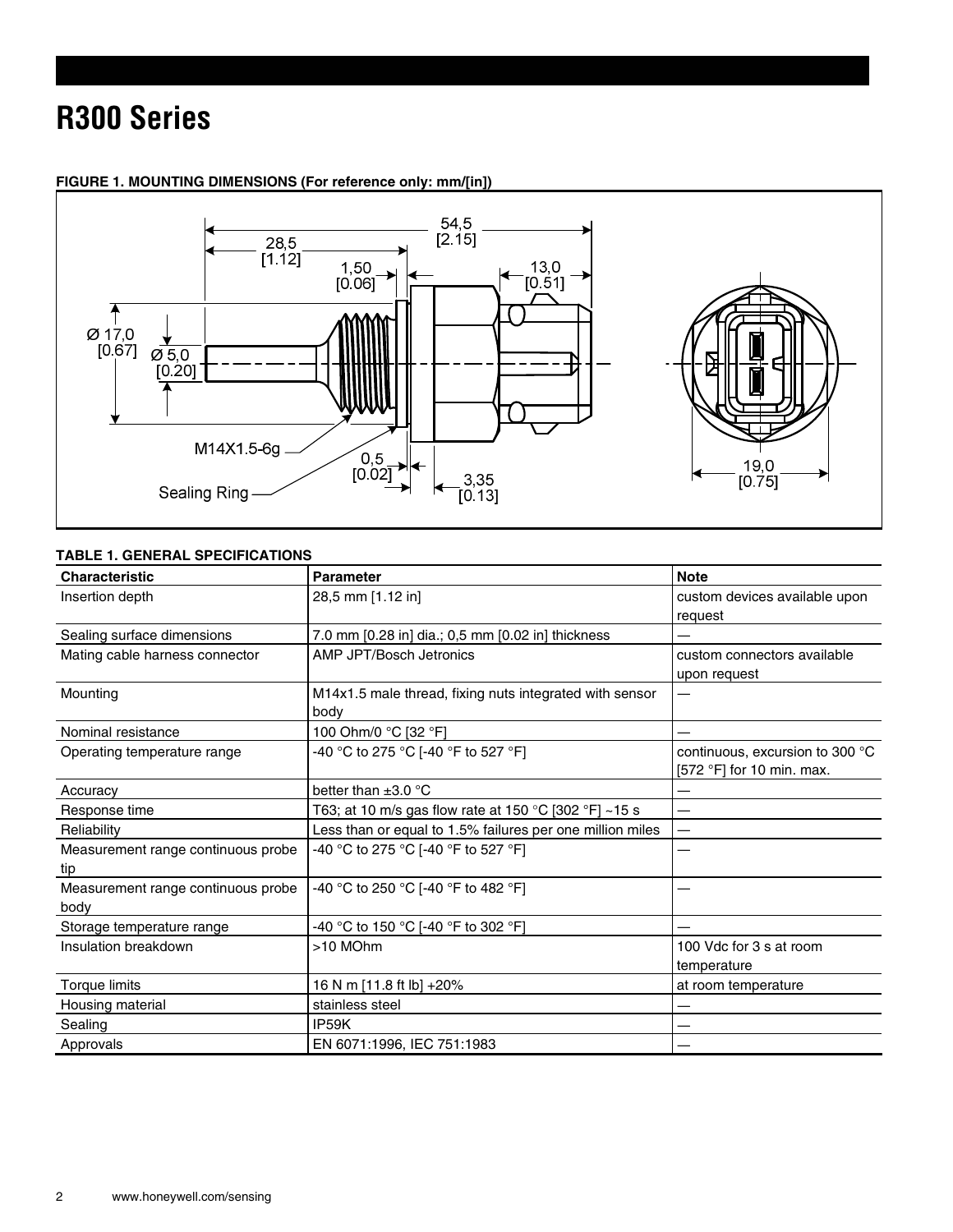# **R300 Series**



# **FIGURE 1. MOUNTING DIMENSIONS (For reference only: mm/[in])**

# **TABLE 1. GENERAL SPECIFICATIONS**

| <b>Characteristic</b>              | <b>Parameter</b>                                          | <b>Note</b>                     |
|------------------------------------|-----------------------------------------------------------|---------------------------------|
| Insertion depth                    | 28,5 mm [1.12 in]                                         | custom devices available upon   |
|                                    |                                                           | request                         |
| Sealing surface dimensions         | 7.0 mm [0.28 in] dia.; 0,5 mm [0.02 in] thickness         |                                 |
| Mating cable harness connector     | AMP JPT/Bosch Jetronics                                   | custom connectors available     |
|                                    |                                                           | upon request                    |
| Mounting                           | M14x1.5 male thread, fixing nuts integrated with sensor   |                                 |
|                                    | body                                                      |                                 |
| Nominal resistance                 | 100 Ohm/0 °C [32 °F]                                      |                                 |
| Operating temperature range        | -40 °C to 275 °C [-40 °F to 527 °F]                       | continuous, excursion to 300 °C |
|                                    |                                                           | [572 °F] for 10 min. max.       |
| Accuracy                           | better than $\pm 3.0$ °C                                  |                                 |
| Response time                      | T63; at 10 m/s gas flow rate at 150 °C [302 °F] ~15 s     |                                 |
| Reliability                        | Less than or equal to 1.5% failures per one million miles |                                 |
| Measurement range continuous probe | -40 °C to 275 °C [-40 °F to 527 °F]                       |                                 |
| tip                                |                                                           |                                 |
| Measurement range continuous probe | -40 °C to 250 °C [-40 °F to 482 °F]                       |                                 |
| body                               |                                                           |                                 |
| Storage temperature range          | -40 °C to 150 °C [-40 °F to 302 °F]                       |                                 |
| Insulation breakdown               | >10 MOhm                                                  | 100 Vdc for 3 s at room         |
|                                    |                                                           | temperature                     |
| Torque limits                      | 16 N m [11.8 ft lb] +20%                                  | at room temperature             |
| Housing material                   | stainless steel                                           |                                 |
| Sealing                            | IP <sub>59</sub> K                                        |                                 |
| Approvals                          | EN 6071:1996, IEC 751:1983                                |                                 |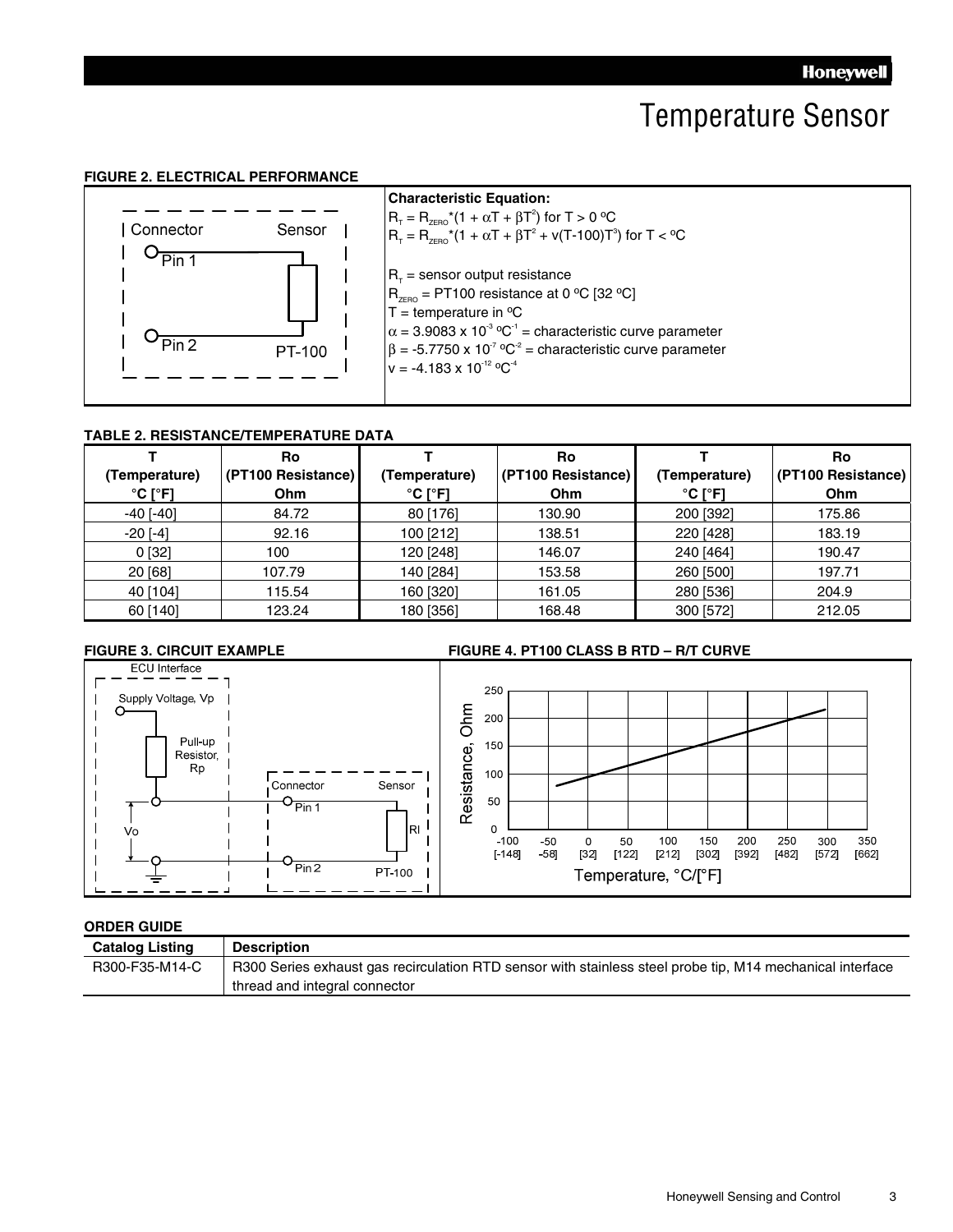# Temperature Sensor

#### **FIGURE 2. ELECTRICAL PERFORMANCE**



#### **TABLE 2. RESISTANCE/TEMPERATURE DATA**

|                              | <b>Ro</b>          |                              | <b>Ro</b>          |                              | Ro                 |
|------------------------------|--------------------|------------------------------|--------------------|------------------------------|--------------------|
| (Temperature)                | (PT100 Resistance) | (Temperature)                | (PT100 Resistance) | (Temperature)                | (PT100 Resistance) |
| $^{\circ}$ C [ $^{\circ}$ F] | Ohm                | $^{\circ}$ C [ $^{\circ}$ F] | Ohm                | $^{\circ}$ C [ $^{\circ}$ F] | Ohm                |
| $-40$ [ $-40$ ]              | 84.72              | 80 [176]                     | 130.90             | 200 [392]                    | 175.86             |
| $-20$ [ $-4$ ]               | 92.16              | 100 [212]                    | 138.51             | 220 [428]                    | 183.19             |
| 0 [32]                       | 100                | 120 [248]                    | 146.07             | 240 [464]                    | 190.47             |
| 20 [68]                      | 107.79             | 140 [284]                    | 153.58             | 260 [500]                    | 197.71             |
| 40 [104]                     | 115.54             | 160 [320]                    | 161.05             | 280 [536]                    | 204.9              |
| 60 [140]                     | 123.24             | 180 [356]                    | 168.48             | 300 [572]                    | 212.05             |

#### **FIGURE 3. CIRCUIT EXAMPLE FIGURE 4. PT100 CLASS B RTD – R/T CURVE**



#### **ORDER GUIDE**

| <b>Catalog Listing</b> | <b>Description</b>                                                                                        |
|------------------------|-----------------------------------------------------------------------------------------------------------|
| R300-F35-M14-C         | R300 Series exhaust gas recirculation RTD sensor with stainless steel probe tip, M14 mechanical interface |
|                        | thread and integral connector                                                                             |